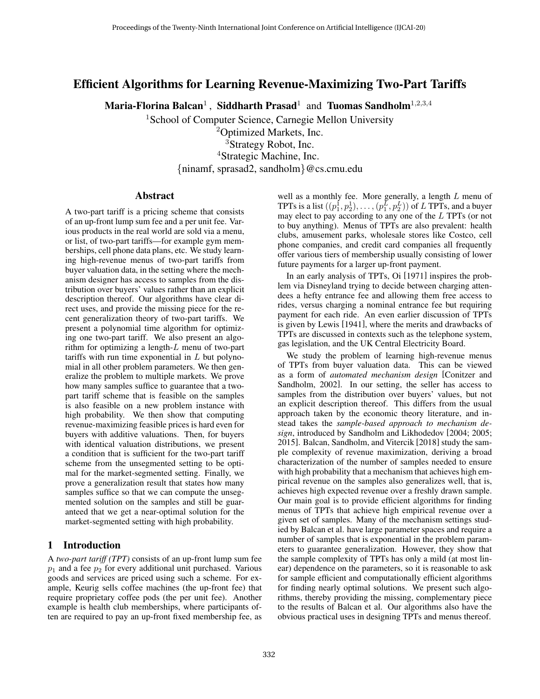# Efficient Algorithms for Learning Revenue-Maximizing Two-Part Tariffs

Maria-Florina Balcan $^1$  , Siddharth Prasad $^1\,$  and Tuomas Sandholm $^{1,2,3,4}$ 

<sup>1</sup>School of Computer Science, Carnegie Mellon University

<sup>2</sup>Optimized Markets, Inc. <sup>3</sup>Strategy Robot, Inc. <sup>4</sup>Strategic Machine, Inc. {ninamf, sprasad2, sandholm}@cs.cmu.edu

# Abstract

A two-part tariff is a pricing scheme that consists of an up-front lump sum fee and a per unit fee. Various products in the real world are sold via a menu, or list, of two-part tariffs—for example gym memberships, cell phone data plans, etc. We study learning high-revenue menus of two-part tariffs from buyer valuation data, in the setting where the mechanism designer has access to samples from the distribution over buyers' values rather than an explicit description thereof. Our algorithms have clear direct uses, and provide the missing piece for the recent generalization theory of two-part tariffs. We present a polynomial time algorithm for optimizing one two-part tariff. We also present an algorithm for optimizing a length-L menu of two-part tariffs with run time exponential in  $L$  but polynomial in all other problem parameters. We then generalize the problem to multiple markets. We prove how many samples suffice to guarantee that a twopart tariff scheme that is feasible on the samples is also feasible on a new problem instance with high probability. We then show that computing revenue-maximizing feasible prices is hard even for buyers with additive valuations. Then, for buyers with identical valuation distributions, we present a condition that is sufficient for the two-part tariff scheme from the unsegmented setting to be optimal for the market-segmented setting. Finally, we prove a generalization result that states how many samples suffice so that we can compute the unsegmented solution on the samples and still be guaranteed that we get a near-optimal solution for the market-segmented setting with high probability.

# 1 Introduction

A *two-part tariff (TPT)* consists of an up-front lump sum fee  $p_1$  and a fee  $p_2$  for every additional unit purchased. Various goods and services are priced using such a scheme. For example, Keurig sells coffee machines (the up-front fee) that require proprietary coffee pods (the per unit fee). Another example is health club memberships, where participants often are required to pay an up-front fixed membership fee, as well as a monthly fee. More generally, a length  $L$  menu of TPTs is a list  $((p_1^{\mathrm{I}},p_2^{\mathrm{I}}),\ldots,(p_1^L,p_2^L))$  of  $L$  TPTs, and a buyer may elect to pay according to any one of the L TPTs (or not to buy anything). Menus of TPTs are also prevalent: health clubs, amusement parks, wholesale stores like Costco, cell phone companies, and credit card companies all frequently offer various tiers of membership usually consisting of lower future payments for a larger up-front payment.

In an early analysis of TPTs, Oi [\[1971\]](#page-6-0) inspires the problem via Disneyland trying to decide between charging attendees a hefty entrance fee and allowing them free access to rides, versus charging a nominal entrance fee but requiring payment for each ride. An even earlier discussion of TPTs is given by Lewis [\[1941\]](#page-6-1), where the merits and drawbacks of TPTs are discussed in contexts such as the telephone system, gas legislation, and the UK Central Electricity Board.

We study the problem of learning high-revenue menus of TPTs from buyer valuation data. This can be viewed as a form of *automated mechanism design* [\[Conitzer and](#page-6-2) [Sandholm, 2002\]](#page-6-2). In our setting, the seller has access to samples from the distribution over buyers' values, but not an explicit description thereof. This differs from the usual approach taken by the economic theory literature, and instead takes the *sample-based approach to mechanism design*, introduced by Sandholm and Likhodedov [\[2004;](#page-6-3) [2005;](#page-6-4) [2015\]](#page-6-5). Balcan, Sandholm, and Vitercik [\[2018\]](#page-6-6) study the sample complexity of revenue maximization, deriving a broad characterization of the number of samples needed to ensure with high probability that a mechanism that achieves high empirical revenue on the samples also generalizes well, that is, achieves high expected revenue over a freshly drawn sample. Our main goal is to provide efficient algorithms for finding menus of TPTs that achieve high empirical revenue over a given set of samples. Many of the mechanism settings studied by Balcan et al. have large parameter spaces and require a number of samples that is exponential in the problem parameters to guarantee generalization. However, they show that the sample complexity of TPTs has only a mild (at most linear) dependence on the parameters, so it is reasonable to ask for sample efficient and computationally efficient algorithms for finding nearly optimal solutions. We present such algorithms, thereby providing the missing, complementary piece to the results of Balcan et al. Our algorithms also have the obvious practical uses in designing TPTs and menus thereof.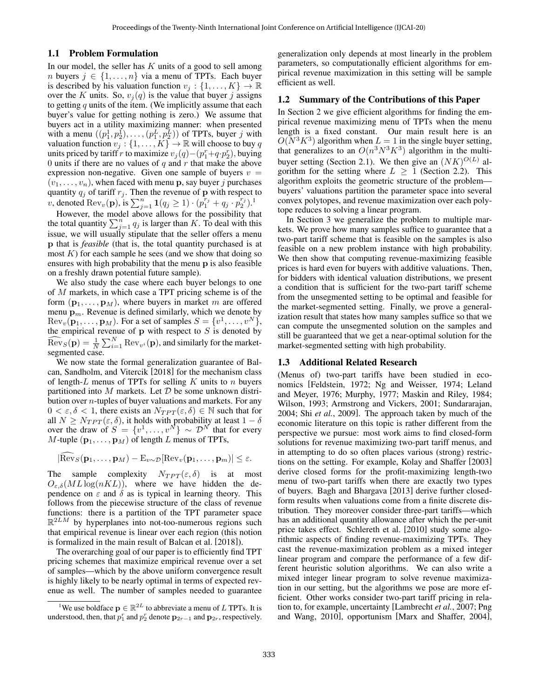### 1.1 Problem Formulation

In our model, the seller has  $K$  units of a good to sell among *n* buyers  $j \in \{1, \ldots, n\}$  via a menu of TPTs. Each buyer is described by his valuation function  $v_j : \{1, \ldots, K\} \to \mathbb{R}$ over the K units. So,  $v_j(q)$  is the value that buyer j assigns to getting  $q$  units of the item. (We implicitly assume that each buyer's value for getting nothing is zero.) We assume that buyers act in a utility maximizing manner: when presented with a menu  $((p_1^1, p_2^1), \ldots, (p_1^L, p_2^L))$  of TPTs, buyer j with valuation function  $v_j : \{1, ..., K\} \to \mathbb{R}$  will choose to buy q units priced by tariff r to maximize  $v_j(q) - (p_1^r + q \cdot p_2^r)$ , buying 0 units if there are no values of  $q$  and  $r$  that make the above expression non-negative. Given one sample of buyers  $v =$  $(v_1, \ldots, v_n)$ , when faced with menu **p**, say buyer j purchases quantity  $q_j$  of tariff  $r_j$ . Then the revenue of p with respect to v, denoted  $\text{Rev}_v(\mathbf{p})$ , is  $\sum_{j=1}^n \mathbf{1}(q_j \geq 1) \cdot (p_1^{r_j} + q_j \cdot p_2^{r_j})$  $\sum_{j=1}^n \mathbf{1}(q_j \geq 1) \cdot (p_1^{r_j} + q_j \cdot p_2^{r_j})$  $\sum_{j=1}^n \mathbf{1}(q_j \geq 1) \cdot (p_1^{r_j} + q_j \cdot p_2^{r_j})$ .

However, the model above allows for the possibility that the total quantity  $\sum_{j=1}^{n} q_j$  is larger than K. To deal with this issue, we will usually stipulate that the seller offers a menu p that is *feasible* (that is, the total quantity purchased is at most  $K$ ) for each sample he sees (and we show that doing so ensures with high probability that the menu p is also feasible on a freshly drawn potential future sample).

We also study the case where each buyer belongs to one of M markets, in which case a TPT pricing scheme is of the form  $(\mathbf{p}_1, \dots, \mathbf{p}_M)$ , where buyers in market m are offered menu  $\mathbf{p}_m$ . Revenue is defined similarly, which we denote by  $\text{Rev}_v(\mathbf{p}_1, \dots, \mathbf{p}_M)$ . For a set of samples  $S = \{v^1, \dots, v^N\},$ the empirical revenue of  $\bf{p}$  with respect to  $S$  is denoted by  $\widehat{\text{Rev}}_S(\mathbf{p}) = \frac{1}{N} \sum_{i=1}^N \text{Rev}_{v^i}(\mathbf{p})$ , and similarly for the marketsegmented case.

We now state the formal generalization guarantee of Balcan, Sandholm, and Vitercik [\[2018\]](#page-6-6) for the mechanism class of length-L menus of TPTs for selling K units to n buyers partitioned into M markets. Let  $D$  be some unknown distribution over  $n$ -tuples of buyer valuations and markets. For any  $0 < \varepsilon, \delta < 1$ , there exists an  $N_{TPT}(\varepsilon, \delta) \in \mathbb{N}$  such that for all  $N \geq N_{TPT}(\varepsilon, \delta)$ , it holds with probability at least  $1 - \delta$ over the draw of  $S = \{v^1, \dots, v^N\} \sim \mathcal{D}^N$  that for every  $M$ -tuple  $(\mathbf{p}_1, \dots, \mathbf{p}_M)$  of length  $L$  menus of TPTs,

$$
|\widehat{\mathrm{Rev}}_{S}(\mathbf{p}_1, \dots, \mathbf{p}_M) - \mathrm{E}_{v \sim \mathcal{D}}[\mathrm{Rev}_v(\mathbf{p}_1, \dots, \mathbf{p}_m)| \le \varepsilon.
$$

The sample complexity  $N_{TPT}(\varepsilon, \delta)$  is at most  $O_{\varepsilon,\delta}(ML\log(nKL))$ , where we have hidden the dependence on  $\varepsilon$  and  $\delta$  as is typical in learning theory. This follows from the piecewise structure of the class of revenue functions: there is a partition of the TPT parameter space  $\mathbb{R}^{2LM}$  by hyperplanes into not-too-numerous regions such that empirical revenue is linear over each region (this notion is formalized in the main result of Balcan et al. [\[2018\]](#page-6-6)).

The overarching goal of our paper is to efficiently find TPT pricing schemes that maximize empirical revenue over a set of samples—which by the above uniform convergence result is highly likely to be nearly optimal in terms of expected revenue as well. The number of samples needed to guarantee generalization only depends at most linearly in the problem parameters, so computationally efficient algorithms for empirical revenue maximization in this setting will be sample efficient as well.

### 1.2 Summary of the Contributions of this Paper

In Section [2](#page-2-0) we give efficient algorithms for finding the empirical revenue maximizing menu of TPTs when the menu length is a fixed constant. Our main result here is an  $O(N^3 K^3)$  algorithm when  $L = 1$  in the single buyer setting, that generalizes to an  $O(n^3 N^3 K^3)$  algorithm in the multi-buyer setting (Section [2.1\)](#page-2-1). We then give an  $(NK)^{O(L)}$  algorithm for the setting where  $L \geq 1$  (Section [2.2\)](#page-3-0). This algorithm exploits the geometric structure of the problem buyers' valuations partition the parameter space into several convex polytopes, and revenue maximization over each polytope reduces to solving a linear program.

In Section [3](#page-4-0) we generalize the problem to multiple markets. We prove how many samples suffice to guarantee that a two-part tariff scheme that is feasible on the samples is also feasible on a new problem instance with high probability. We then show that computing revenue-maximizing feasible prices is hard even for buyers with additive valuations. Then, for bidders with identical valuation distributions, we present a condition that is sufficient for the two-part tariff scheme from the unsegmented setting to be optimal and feasible for the market-segmented setting. Finally, we prove a generalization result that states how many samples suffice so that we can compute the unsegmented solution on the samples and still be guaranteed that we get a near-optimal solution for the market-segmented setting with high probability.

### 1.3 Additional Related Research

(Menus of) two-part tariffs have been studied in economics [\[Feldstein, 1972;](#page-6-7) [Ng and Weisser, 1974;](#page-6-8) [Leland](#page-6-9) [and Meyer, 1976;](#page-6-9) [Murphy, 1977;](#page-6-10) [Maskin and Riley, 1984;](#page-6-11) [Wilson, 1993;](#page-6-12) [Armstrong and Vickers, 2001;](#page-6-13) [Sundararajan,](#page-6-14) [2004;](#page-6-14) Shi *et al.*[, 2009\]](#page-6-15). The approach taken by much of the economic literature on this topic is rather different from the perspective we pursue: most work aims to find closed-form solutions for revenue maximizing two-part tariff menus, and in attempting to do so often places various (strong) restrictions on the setting. For example, Kolay and Shaffer [\[2003\]](#page-6-16) derive closed forms for the profit-maximizing length-two menu of two-part tariffs when there are exactly two types of buyers. Bagh and Bhargava [\[2013\]](#page-6-17) derive further closedform results when valuations come from a finite discrete distribution. They moreover consider three-part tariffs—which has an additional quantity allowance after which the per-unit price takes effect. Schlereth et al. [\[2010\]](#page-6-18) study some algorithmic aspects of finding revenue-maximizing TPTs. They cast the revenue-maximization problem as a mixed integer linear program and compare the performance of a few different heuristic solution algorithms. We can also write a mixed integer linear program to solve revenue maximization in our setting, but the algorithms we pose are more efficient. Other works consider two-part tariff pricing in relation to, for example, uncertainty [\[Lambrecht](#page-6-19) *et al.*, 2007; [Png](#page-6-20) [and Wang, 2010\]](#page-6-20), opportunism [\[Marx and Shaffer, 2004\]](#page-6-21),

<span id="page-1-0"></span><sup>&</sup>lt;sup>1</sup>We use boldface  $\mathbf{p} \in \mathbb{R}^{2L}$  to abbreviate a menu of L TPTs. It is understood, then, that  $p_1^r$  and  $p_2^r$  denote  $\mathbf{p}_{2r-1}$  and  $\mathbf{p}_{2r}$ , respectively.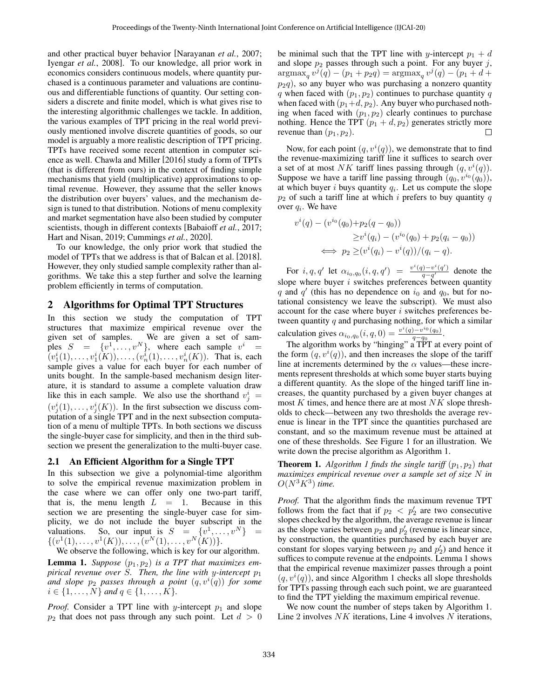and other practical buyer behavior [\[Narayanan](#page-6-22) *et al.*, 2007; [Iyengar](#page-6-23) *et al.*, 2008]. To our knowledge, all prior work in economics considers continuous models, where quantity purchased is a continuous parameter and valuations are continuous and differentiable functions of quantity. Our setting considers a discrete and finite model, which is what gives rise to the interesting algorithmic challenges we tackle. In addition, the various examples of TPT pricing in the real world previously mentioned involve discrete quantities of goods, so our model is arguably a more realistic description of TPT pricing. TPTs have received some recent attention in computer science as well. Chawla and Miller [\[2016\]](#page-6-24) study a form of TPTs (that is different from ours) in the context of finding simple mechanisms that yield (multiplicative) approximations to optimal revenue. However, they assume that the seller knows the distribution over buyers' values, and the mechanism design is tuned to that distribution. Notions of menu complexity and market segmentation have also been studied by computer scientists, though in different contexts [\[Babaioff](#page-6-25) *et al.*, 2017; [Hart and Nisan, 2019;](#page-6-26) [Cummings](#page-6-27) *et al.*, 2020].

To our knowledge, the only prior work that studied the model of TPTs that we address is that of Balcan et al. [\[2018\]](#page-6-6). However, they only studied sample complexity rather than algorithms. We take this a step further and solve the learning problem efficiently in terms of computation.

## <span id="page-2-0"></span>2 Algorithms for Optimal TPT Structures

In this section we study the computation of TPT structures that maximize empirical revenue over the given set of samples. We are given a set of samples  $S = \{v^1, \ldots, v^N\}$ , where each sample  $v^i =$  $(v_1^i(1),...,v_1^i(K)),..., (v_n^i(1),...,v_n^i(K)).$  That is, each sample gives a value for each buyer for each number of units bought. In the sample-based mechanism design literature, it is standard to assume a complete valuation draw like this in each sample. We also use the shorthand  $v_j^i =$  $(v_j^i(1), \ldots, v_j^i(K))$ . In the first subsection we discuss computation of a single TPT and in the next subsection computation of a menu of multiple TPTs. In both sections we discuss the single-buyer case for simplicity, and then in the third subsection we present the generalization to the multi-buyer case.

### <span id="page-2-1"></span>2.1 An Efficient Algorithm for a Single TPT

In this subsection we give a polynomial-time algorithm to solve the empirical revenue maximization problem in the case where we can offer only one two-part tariff, that is, the menu length  $L = 1$ . Because in this section we are presenting the single-buyer case for simplicity, we do not include the buyer subscript in the valuations. So, our input is  $S = \{v^1, \ldots, v^N\} =$  $\{(v^1(1), \ldots, v^1(K)), \ldots, (v^N(1), \ldots, v^N(K))\}.$ 

We observe the following, which is key for our algorithm.

<span id="page-2-2"></span>**Lemma 1.** Suppose  $(p_1, p_2)$  is a TPT that maximizes em*pirical revenue over* S. Then, the line with y-intercept  $p_1$ and slope  $p_2$  passes through a point  $(q, v^i(q))$  for some  $i \in \{1, \ldots, N\}$  and  $q \in \{1, \ldots, K\}.$ 

*Proof.* Consider a TPT line with y-intercept  $p_1$  and slope  $p_2$  that does not pass through any such point. Let  $d > 0$  be minimal such that the TPT line with y-intercept  $p_1 + d$ and slope  $p_2$  passes through such a point. For any buyer j,  $\arg \max_{q} v^{j}(q) - (p_{1} + p_{2}q) = \arg \max_{q} v^{j}(q) - (p_{1} + d +$  $p_2q$ ), so any buyer who was purchasing a nonzero quantity q when faced with  $(p_1, p_2)$  continues to purchase quantity q when faced with  $(p_1+d, p_2)$ . Any buyer who purchased nothing when faced with  $(p_1, p_2)$  clearly continues to purchase nothing. Hence the TPT  $(p_1 + d, p_2)$  generates strictly more revenue than  $(p_1, p_2)$ . □

Now, for each point  $(q, v^{i}(q))$ , we demonstrate that to find the revenue-maximizing tariff line it suffices to search over a set of at most NK tariff lines passing through  $(q, v^{i}(q))$ . Suppose we have a tariff line passing through  $(q_0, v^{i_0}(q_0))$ , at which buyer  $i$  buys quantity  $q_i$ . Let us compute the slope  $p_2$  of such a tariff line at which i prefers to buy quantity q over  $q_i$ . We have

$$
v^{i}(q) - (v^{i_0}(q_0) + p_2(q - q_0))
$$
  
\n
$$
\geq v^{i}(q_i) - (v^{i_0}(q_0) + p_2(q_i - q_0))
$$
  
\n
$$
\iff p_2 \geq (v^{i}(q_i) - v^{i}(q)) / (q_i - q).
$$

For i, q, q' let  $\alpha_{i_0,q_0}(i,q,q') = \frac{v^i(q) - v^i(q')}{q - q'}$  $\frac{q(-q)}{q-q'}$  denote the slope where buyer  $i$  switches preferences between quantity q and  $q'$  (this has no dependence on  $i_0$  and  $q_0$ , but for notational consistency we leave the subscript). We must also account for the case where buyer  $i$  switches preferences between quantity  $q$  and purchasing nothing, for which a similar calculation gives  $\alpha_{i_0,q_0}(i,q,0) = \frac{v^i(q) - v^{i_0}(q_0)}{q - q_0}$  $\frac{q-q_0}{q-q_0}$ .

The algorithm works by "hinging" a TPT at every point of the form  $(q, v^{i}(q))$ , and then increases the slope of the tariff line at increments determined by the  $\alpha$  values—these increments represent thresholds at which some buyer starts buying a different quantity. As the slope of the hinged tariff line increases, the quantity purchased by a given buyer changes at most  $K$  times, and hence there are at most  $NK$  slope thresholds to check—between any two thresholds the average revenue is linear in the TPT since the quantities purchased are constant, and so the maximum revenue must be attained at one of these thresholds. See Figure [1](#page-3-1) for an illustration. We write down the precise algorithm as Algorithm [1.](#page-3-2)

**Theorem [1](#page-3-2).** Algorithm 1 finds the single tariff  $(p_1, p_2)$  that *maximizes empirical revenue over a sample set of size* N *in*  $O(N^3K^3)$  time.

*Proof.* That the algorithm finds the maximum revenue TPT follows from the fact that if  $p_2 < p_2$  are two consecutive slopes checked by the algorithm, the average revenue is linear as the slope varies between  $p_2$  and  $p'_2$  (revenue is linear since, by construction, the quantities purchased by each buyer are constant for slopes varying between  $p_2$  and  $p'_2$ ) and hence it suffices to compute revenue at the endpoints. Lemma [1](#page-2-2) shows that the empirical revenue maximizer passes through a point  $(q, v<sup>i</sup>(q))$ , and since Algorithm [1](#page-3-2) checks all slope thresholds for TPTs passing through each such point, we are guaranteed to find the TPT yielding the maximum empirical revenue.

We now count the number of steps taken by Algorithm [1.](#page-3-2) Line 2 involves  $NK$  iterations, Line 4 involves  $N$  iterations,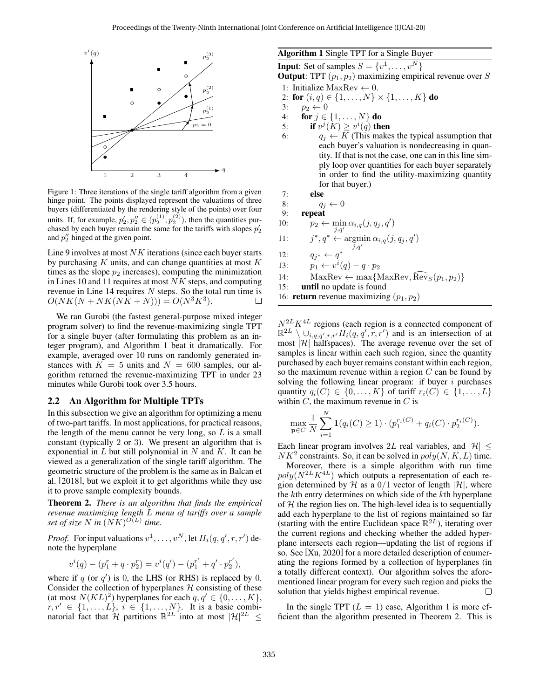<span id="page-3-1"></span>

Figure 1: Three iterations of the single tariff algorithm from a given hinge point. The points displayed represent the valuations of three buyers (differentiated by the rendering style of the points) over four units. If, for example,  $p'_2, p''_2 \in (p_2^{(1)}, p_2^{(2)})$ , then the quantities purchased by each buyer remain the same for the tariffs with slopes  $p'_2$ and  $p_2$ <sup>"</sup> hinged at the given point.

Line 9 involves at most  $NK$  iterations (since each buyer starts by purchasing  $K$  units, and can change quantities at most  $K$ times as the slope  $p_2$  increases), computing the minimization in Lines 10 and 11 requires at most  $NK$  steps, and computing revenue in Line 14 requires  $N$  steps. So the total run time is  $O(NK(N + NK(N\tilde{K} + N))) = O(N^3K^3).$  $\Box$ 

We ran Gurobi (the fastest general-purpose mixed integer program solver) to find the revenue-maximizing single TPT for a single buyer (after formulating this problem as an integer program), and Algorithm [1](#page-3-2) beat it dramatically. For example, averaged over 10 runs on randomly generated instances with  $K = 5$  units and  $N = 600$  samples, our algorithm returned the revenue-maximizing TPT in under 23 minutes while Gurobi took over 3.5 hours.

#### <span id="page-3-0"></span>2.2 An Algorithm for Multiple TPTs

In this subsection we give an algorithm for optimizing a menu of two-part tariffs. In most applications, for practical reasons, the length of the menu cannot be very long, so  $L$  is a small constant (typically 2 or 3). We present an algorithm that is exponential in  $L$  but still polynomial in  $N$  and  $K$ . It can be viewed as a generalization of the single tariff algorithm. The geometric structure of the problem is the same as in Balcan et al. [\[2018\]](#page-6-6), but we exploit it to get algorithms while they use it to prove sample complexity bounds.

<span id="page-3-3"></span>Theorem 2. *There is an algorithm that finds the empirical revenue maximizing length* L *menu of tariffs over a sample* set of size  $N$  in  $(NK)^{O(L)}$  time.

*Proof.* For input valuations  $v^1, \ldots, v^N$ , let  $H_i(q, q', r, r')$  denote the hyperplane

$$
v^{i}(q) - (p_{1}^{r} + q \cdot p_{2}^{r}) = v^{i}(q') - (p_{1}^{r'} + q' \cdot p_{2}^{r'}),
$$

where if  $q$  (or  $q'$ ) is 0, the LHS (or RHS) is replaced by 0. Consider the collection of hyperplanes  $H$  consisting of these (at most  $N(KL)^2$ ) hyperplanes for each  $q, q' \in \{0, ..., K\},$  $r, r' \in \{1, \ldots, L\}, i \in \{1, \ldots, N\}.$  It is a basic combinatorial fact that H partitions  $\mathbb{R}^{2L}$  into at most  $|\mathcal{H}|^{2L} \leq$ 

### <span id="page-3-2"></span>Algorithm 1 Single TPT for a Single Buyer

**Input:** Set of samples  $S = \{v^1, \dots, v^N\}$ **Output:** TPT  $(p_1, p_2)$  maximizing empirical revenue over S

- 1: Initialize MaxRev  $\leftarrow$  0.
- <span id="page-3-5"></span>2: for  $(i, q) \in \{1, ..., N\} \times \{1, ..., K\}$  do
- 3:  $p_2 \leftarrow 0$ <br>4: **for**  $i \in$
- for  $j \in \{1, \ldots, N\}$  do
- 5: if  $v^j(K) \geq v^i(q)$  then
- 6:  $q_j \leftarrow K$  (This makes the typical assumption that each buyer's valuation is nondecreasing in quantity. If that is not the case, one can in this line simply loop over quantities for each buyer separately in order to find the utility-maximizing quantity for that buyer.)
- 7: else

<span id="page-3-6"></span>8:  $q_j \leftarrow 0$ 

<span id="page-3-4"></span>9: repeat

10: 
$$
p_2 \leftarrow \min_{j,q'} \alpha_{i,q}(j,q_j,q')
$$

11: j ∗  $, q^* \leftarrow \operatorname{argmin} \alpha_{i,q}(j, q_j, q')$ 

- $j,q'$ 12:  $q_{j^*} \leftarrow q^*$
- 13:  $p_1 \leftarrow v^i(q) q \cdot p_2$
- 14: MaxRev ← max{MaxRev, Rev $_S(p_1, p_2)$ }<br>15: **until** no update is found
- until no update is found
- 16: **return** revenue maximizing  $(p_1, p_2)$

 $N^{2L}K^{4L}$  regions (each region is a connected component of  $\mathbb{R}^{2L} \setminus \cup_{i,q,q',r,r'} \hat{H}_i(q,q',r,r')$  and is an intersection of at most  $|\mathcal{H}|$  halfspaces). The average revenue over the set of samples is linear within each such region, since the quantity purchased by each buyer remains constant within each region, so the maximum revenue within a region  $C$  can be found by solving the following linear program: if buyer  $i$  purchases quantity  $q_i(C) \in \{0, \ldots, K\}$  of tariff  $r_i(C) \in \{1, \ldots, L\}$ within  $C$ , the maximum revenue in  $C$  is

$$
\max_{\mathbf{p}\in C} \frac{1}{N} \sum_{i=1}^{N} \mathbf{1}(q_i(C) \ge 1) \cdot (p_1^{r_i(C)} + q_i(C) \cdot p_2^{r_i(C)}).
$$

Each linear program involves 2L real variables, and  $|\mathcal{H}| \leq$  $NK<sup>2</sup>$  constraints. So, it can be solved in  $poly(N, K, L)$  time.

Moreover, there is a simple algorithm with run time  $poly(N^{2L}K^{4L})$  which outputs a representation of each region determined by H as a  $0/1$  vector of length  $|\mathcal{H}|$ , where the kth entry determines on which side of the kth hyperplane of  $H$  the region lies on. The high-level idea is to sequentially add each hyperplane to the list of regions maintained so far (starting with the entire Euclidean space  $\mathbb{R}^{2L}$ ), iterating over the current regions and checking whether the added hyperplane intersects each region—updating the list of regions if so. See [\[Xu, 2020\]](#page-6-28) for a more detailed description of enumerating the regions formed by a collection of hyperplanes (in a totally different context). Our algorithm solves the aforementioned linear program for every such region and picks the solution that yields highest empirical revenue. П

In the single TPT  $(L = 1)$  $(L = 1)$  $(L = 1)$  case, Algorithm 1 is more efficient than the algorithm presented in Theorem [2.](#page-3-3) This is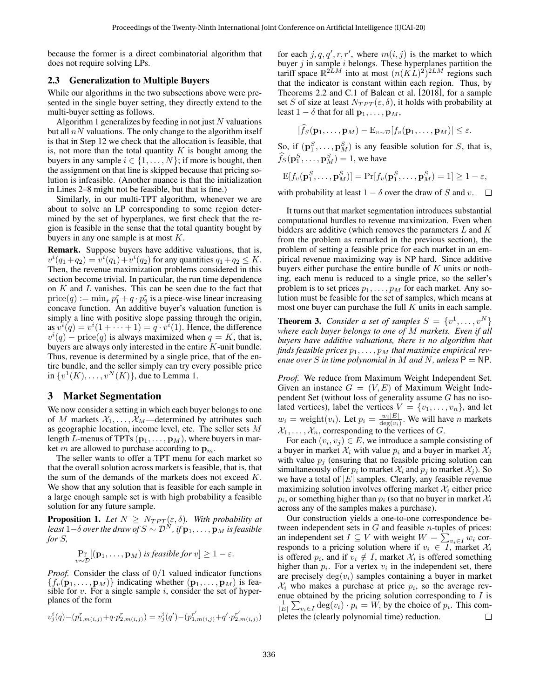because the former is a direct combinatorial algorithm that does not require solving LPs.

### 2.3 Generalization to Multiple Buyers

While our algorithms in the two subsections above were presented in the single buyer setting, they directly extend to the multi-buyer setting as follows.

Algorithm [1](#page-3-2) generalizes by feeding in not just  $N$  valuations but all  $nN$  valuations. The only change to the algorithm itself is that in Step [12](#page-3-4) we check that the allocation is feasible, that is, not more than the total quantity  $K$  is bought among the buyers in any sample  $i \in \{1, \ldots, N\}$ ; if more is bought, then the assignment on that line is skipped because that pricing solution is infeasible. (Another nuance is that the initialization in Lines [2–](#page-3-5)[8](#page-3-6) might not be feasible, but that is fine.)

Similarly, in our multi-TPT algorithm, whenever we are about to solve an LP corresponding to some region determined by the set of hyperplanes, we first check that the region is feasible in the sense that the total quantity bought by buyers in any one sample is at most  $K$ .

Remark. Suppose buyers have additive valuations, that is,  $v^{i}(q_{1}+q_{2}) = v^{i}(q_{1}) + v^{i}(q_{2})$  for any quantities  $q_{1} + q_{2} \leq K$ . Then, the revenue maximization problems considered in this section become trivial. In particular, the run time dependence on  $K$  and  $L$  vanishes. This can be seen due to the fact that  $\text{price}(q) := \min_r p_1^r + q \cdot p_2^r$  is a piece-wise linear increasing concave function. An additive buyer's valuation function is simply a line with positive slope passing through the origin, as  $v^{i}(q) = v^{i}(1 + \cdots + 1) = q \cdot v^{i}(1)$ . Hence, the difference  $v^{i}(q)$  – price $(q)$  is always maximized when  $q = K$ , that is, buyers are always only interested in the entire K-unit bundle. Thus, revenue is determined by a single price, that of the entire bundle, and the seller simply can try every possible price in  $\{v^1(K), \ldots, v^N(K)\}\)$ , due to Lemma [1.](#page-2-2)

## <span id="page-4-0"></span>3 Market Segmentation

We now consider a setting in which each buyer belongs to one of M markets  $X_1, \ldots, X_M$ —determined by attributes such as geographic location, income level, etc. The seller sets M length L-menus of TPTs  $(\mathbf{p}_1, \dots, \mathbf{p}_M)$ , where buyers in market m are allowed to purchase according to  $\mathbf{p}_m$ .

The seller wants to offer a TPT menu for each market so that the overall solution across markets is feasible, that is, that the sum of the demands of the markets does not exceed K. We show that any solution that is feasible for each sample in a large enough sample set is with high probability a feasible solution for any future sample.

**Proposition 1.** Let  $N \geq N_{TPT}(\varepsilon, \delta)$ . With probability at *least*  $1-\delta$  *over the draw of*  $S \sim \mathcal{D}^N$ , *if*  $\mathbf{p}_1, \ldots, \mathbf{p}_M$  *is feasible for* S*,*

$$
\Pr_{v \sim \mathcal{D}}[(\mathbf{p}_1, \dots, \mathbf{p}_M) \text{ is feasible for } v] \ge 1 - \varepsilon.
$$

*Proof.* Consider the class of  $0/1$  valued indicator functions  ${f_v(\mathbf{p}_1, \dots, \mathbf{p}_M)}$  indicating whether  $(\mathbf{p}_1, \dots, \mathbf{p}_M)$  is feasible for  $v$ . For a single sample  $i$ , consider the set of hyperplanes of the form

$$
v_j^i(q) - (p_{1,m(i,j)}^r + q \cdot p_{2,m(i,j)}^r) = v_j^i(q') - (p_{1,m(i,j)}^{r'} + q' \cdot p_{2,m(i,j)}^{r'})
$$

for each  $j, q, q', r, r'$ , where  $m(i, j)$  is the market to which buyer  $j$  in sample  $i$  belongs. These hyperplanes partition the tariff space  $\mathbb{R}^{2LM}$  into at most  $(n(KL)^2)^{2LM}$  regions such that the indicator is constant within each region. Thus, by Theorems 2.2 and C.1 of Balcan et al. [\[2018\]](#page-6-6), for a sample set S of size at least  $N_{TPT}(\varepsilon, \delta)$ , it holds with probability at least  $1 - \delta$  that for all  $\mathbf{p}_1, \ldots, \mathbf{p}_M$ ,

$$
|\widehat{f}_S(\mathbf{p}_1,\ldots,\mathbf{p}_M)-\mathrm{E}_{v\sim\mathcal{D}}[f_v(\mathbf{p}_1,\ldots,\mathbf{p}_M)|\leq\varepsilon.
$$

So, if  $(\mathbf{p}_1^S, \dots, \mathbf{p}_M^S)$  is any feasible solution for S, that is,  $\widehat{f}_S(\mathbf{p}_1^S,\dots,\mathbf{p}_M^S)=1$ , we have

$$
\mathrm{E}[f_v(\mathbf{p}_1^S,\ldots,\mathbf{p}_M^S)]=\mathrm{Pr}[f_v(\mathbf{p}_1^S,\ldots,\mathbf{p}_M^S)=1]\geq 1-\varepsilon,
$$

with probability at least  $1 - \delta$  over the draw of S and v.  $\Box$ 

It turns out that market segmentation introduces substantial computational hurdles to revenue maximization. Even when bidders are additive (which removes the parameters L and K from the problem as remarked in the previous section), the problem of setting a feasible price for each market in an empirical revenue maximizing way is NP hard. Since additive buyers either purchase the entire bundle of  $K$  units or nothing, each menu is reduced to a single price, so the seller's problem is to set prices  $p_1, \ldots, p_M$  for each market. Any solution must be feasible for the set of samples, which means at most one buyer can purchase the full  $K$  units in each sample.

**Theorem 3.** *Consider a set of samples*  $S = \{v^1, \ldots, v^N\}$ *where each buyer belongs to one of* M *markets. Even if all buyers have additive valuations, there is no algorithm that* finds feasible prices  $p_1, \ldots, p_M$  that maximize empirical rev*enue over S* in time polynomial in M and N, unless  $P = NP$ .

*Proof.* We reduce from Maximum Weight Independent Set. Given an instance  $G = (V, E)$  of Maximum Weight Independent Set (without loss of generality assume G has no isolated vertices), label the vertices  $V = \{v_1, \ldots, v_n\}$ , and let  $w_i = \text{weight}(v_i)$ . Let  $p_i = \frac{w_i|E|}{\text{deg}(v_i)}$  $\frac{w_i|E|}{\deg(v_i)}$ . We will have *n* markets  $X_1, \ldots, X_n$ , corresponding to the vertices of G.

For each  $(v_i, v_j) \in E$ , we introduce a sample consisting of a buyer in market  $\mathcal{X}_i$  with value  $p_i$  and a buyer in market  $\mathcal{X}_i$ with value  $p_i$  (ensuring that no feasible pricing solution can simultaneously offer  $p_i$  to market  $\mathcal{X}_i$  and  $p_j$  to market  $\mathcal{X}_j$ ). So we have a total of  $|E|$  samples. Clearly, any feasible revenue maximizing solution involves offering market  $\mathcal{X}_i$  either price  $p_i$ , or something higher than  $p_i$  (so that no buyer in market  $\mathcal{X}_i$ across any of the samples makes a purchase).

Our construction yields a one-to-one correspondence between independent sets in  $G$  and feasible *n*-tuples of prices: an independent set  $I \subseteq V$  with weight  $W = \sum_{v_i \in I} w_i$  corresponds to a pricing solution where if  $v_i \in I$ , market  $\mathcal{X}_i$ is offered  $p_i$ , and if  $v_i \notin I$ , market  $\mathcal{X}_i$  is offered something higher than  $p_i$ . For a vertex  $v_i$  in the independent set, there are precisely  $deg(v_i)$  samples containing a buyer in market  $\mathcal{X}_i$  who makes a purchase at price  $p_i$ , so the average revenue obtained by the pricing solution corresponding to  $I$  is  $\frac{1}{|E|} \sum_{v_i \in I} \deg(v_i) \cdot p_i = W$ , by the choice of  $p_i$ . This completes the (clearly polynomial time) reduction.  $\Box$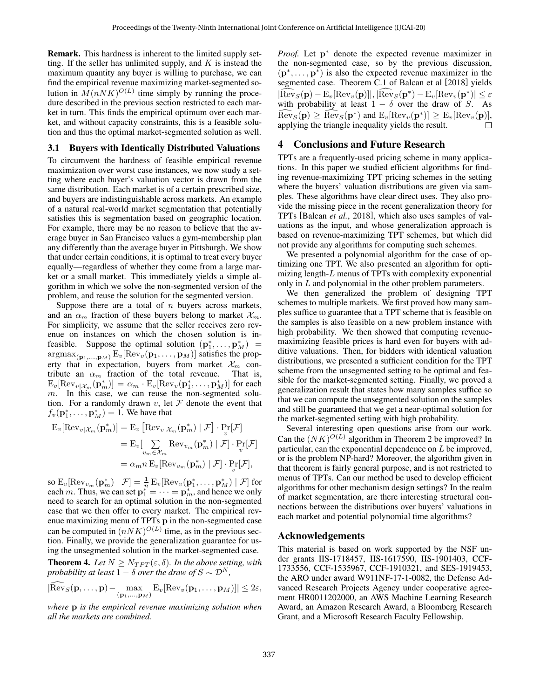Remark. This hardness is inherent to the limited supply setting. If the seller has unlimited supply, and  $K$  is instead the maximum quantity any buyer is willing to purchase, we can find the empirical revenue maximizing market-segmented solution in  $M(nNK)^{O(L)}$  time simply by running the procedure described in the previous section restricted to each market in turn. This finds the empirical optimum over each market, and without capacity constraints, this is a feasible solution and thus the optimal market-segmented solution as well.

## 3.1 Buyers with Identically Distributed Valuations

To circumvent the hardness of feasible empirical revenue maximization over worst case instances, we now study a setting where each buyer's valuation vector is drawn from the same distribution. Each market is of a certain prescribed size, and buyers are indistinguishable across markets. An example of a natural real-world market segmentation that potentially satisfies this is segmentation based on geographic location. For example, there may be no reason to believe that the average buyer in San Francisco values a gym-membership plan any differently than the average buyer in Pittsburgh. We show that under certain conditions, it is optimal to treat every buyer equally—regardless of whether they come from a large market or a small market. This immediately yields a simple algorithm in which we solve the non-segmented version of the problem, and reuse the solution for the segmented version.

Suppose there are a total of  $n$  buyers across markets, and an  $\alpha_m$  fraction of these buyers belong to market  $\mathcal{X}_m$ . For simplicity, we assume that the seller receives zero revenue on instances on which the chosen solution is infeasible. Suppose the optimal solution  $(\mathbf{p}_1^*, \dots, \mathbf{p}_M^*)$  =  $\argmax_{(\mathbf{p}_1,...,\mathbf{p}_M)} \mathbf{E}_v[\text{Rev}_v(\mathbf{p}_1,...,\mathbf{p}_M)]$  satisfies the property that in expectation, buyers from market  $\mathcal{X}_m$  contribute an  $\alpha_m$  fraction of the total revenue. That is,  $\text{E}_{v}[\text{Rev}_{v|\mathcal{X}_m}(\mathbf{p}_m^*)] = \alpha_m \cdot \text{E}_{v}[\text{Rev}_{v}(\mathbf{p}_1^*, \dots, \mathbf{p}_M^*)]$  for each  $m$ . In this case, we can reuse the non-segmented solution. For a randomly drawn  $v$ , let  $\mathcal F$  denote the event that  $f_v(\mathbf{p}_1^*, \dots, \mathbf{p}_M^*) = 1$ . We have that

$$
\begin{aligned} \mathbf{E}_{v}[\text{Rev}_{v|\mathcal{X}_{m}}(\mathbf{p}_{m}^{*})] &= \mathbf{E}_{v} \left[ \text{Rev}_{v|\mathcal{X}_{m}}(\mathbf{p}_{m}^{*}) \mid \mathcal{F} \right] \cdot \Pr_{v}[\mathcal{F}] \\ &= \mathbf{E}_{v}[\sum_{v_{m} \in \mathcal{X}_{m}} \text{Rev}_{v_{m}}(\mathbf{p}_{m}^{*}) \mid \mathcal{F}] \cdot \Pr_{v}[\mathcal{F}] \\ &= \alpha_{m} n \, \mathbf{E}_{v}[\text{Rev}_{v_{m}}(\mathbf{p}_{m}^{*}) \mid \mathcal{F}] \cdot \Pr_{v}[\mathcal{F}], \end{aligned}
$$

so  ${\rm E}_v[{\rm Rev}_{v_m}(\mathbf{p}_m^*)\mid \mathcal{F}]=\frac{1}{n}\,{\rm E}_v[{\rm Rev}_{v}(\mathbf{p}_1^*,\ldots,\mathbf{p}_M^*)\mid \mathcal{F}]$  for each m. Thus, we can set  $\mathbf{p}_1^{\mu} = \cdots = \mathbf{p}_m^*$ , and hence we only need to search for an optimal solution in the non-segmented case that we then offer to every market. The empirical revenue maximizing menu of TPTs p in the non-segmented case can be computed in  $(nNK)^{O(L)}$  time, as in the previous section. Finally, we provide the generalization guarantee for using the unsegmented solution in the market-segmented case.

**Theorem 4.** *Let*  $N \geq N_{TPT}(\varepsilon, \delta)$ *. In the above setting, with probability at least*  $1 - \delta$  *over the draw of*  $S \sim \mathcal{D}^N$ *,* 

$$
|\widehat{\text{Rev}}_{S}(\mathbf{p},...,\mathbf{p}) - \max_{(\mathbf{p}_1,...,\mathbf{p}_M)} \text{E}_{v}[\text{Rev}_{v}(\mathbf{p}_1,...,\mathbf{p}_M)]| \leq 2\varepsilon,
$$

*where* p *is the empirical revenue maximizing solution when all the markets are combined.*

*Proof.* Let  $p^*$  denote the expected revenue maximizer in the non-segmented case, so by the previous discussion,  $(\mathbf{p}^*, \dots, \mathbf{p}^*)$  is also the expected revenue maximizer in the segmented case. Theorem C.1 of Balcan et al [\[2018\]](#page-6-6) yields  $|\widetilde{\text{Rev}}_S(\mathbf{p}) - \text{E}_v[\text{Rev}_v(\mathbf{p})]|, |\widetilde{\text{Rev}}_S(\mathbf{p}^*) - \text{E}_v[\text{Rev}_v(\mathbf{p}^*)]|\leq \varepsilon$ with probability at least  $1 - \delta$  over the draw of S. As  $\widehat{\mathrm{Rev}}_S(\mathbf{p}) \geq \widehat{\mathrm{Rev}}_S(\mathbf{p}^*)$  and  $\mathrm{E}_v[\mathrm{Rev}_v(\mathbf{p}^*)] \geq \mathrm{E}_v[\mathrm{Rev}_v(\mathbf{p})]$ applying the triangle inequality yields the result.  $\Box$ 

# 4 Conclusions and Future Research

TPTs are a frequently-used pricing scheme in many applications. In this paper we studied efficient algorithms for finding revenue-maximizing TPT pricing schemes in the setting where the buyers' valuation distributions are given via samples. These algorithms have clear direct uses. They also provide the missing piece in the recent generalization theory for TPTs [\[Balcan](#page-6-6) *et al.*, 2018], which also uses samples of valuations as the input, and whose generalization approach is based on revenue-maximizing TPT schemes, but which did not provide any algorithms for computing such schemes.

We presented a polynomial algorithm for the case of optimizing one TPT. We also presented an algorithm for optimizing length-L menus of TPTs with complexity exponential only in L and polynomial in the other problem parameters.

We then generalized the problem of designing TPT schemes to multiple markets. We first proved how many samples suffice to guarantee that a TPT scheme that is feasible on the samples is also feasible on a new problem instance with high probability. We then showed that computing revenuemaximizing feasible prices is hard even for buyers with additive valuations. Then, for bidders with identical valuation distributions, we presented a sufficient condition for the TPT scheme from the unsegmented setting to be optimal and feasible for the market-segmented setting. Finally, we proved a generalization result that states how many samples suffice so that we can compute the unsegmented solution on the samples and still be guaranteed that we get a near-optimal solution for the market-segmented setting with high probability.

Several interesting open questions arise from our work. Can the  $(NK)^{O(L)}$  algorithm in Theorem [2](#page-3-3) be improved? In particular, can the exponential dependence on L be improved, or is the problem NP-hard? Moreover, the algorithm given in that theorem is fairly general purpose, and is not restricted to menus of TPTs. Can our method be used to develop efficient algorithms for other mechanism design settings? In the realm of market segmentation, are there interesting structural connections between the distributions over buyers' valuations in each market and potential polynomial time algorithms?

## Acknowledgements

This material is based on work supported by the NSF under grants IIS-1718457, IIS-1617590, IIS-1901403, CCF-1733556, CCF-1535967, CCF-1910321, and SES-1919453, the ARO under award W911NF-17-1-0082, the Defense Advanced Research Projects Agency under cooperative agreement HR0011202000, an AWS Machine Learning Research Award, an Amazon Research Award, a Bloomberg Research Grant, and a Microsoft Research Faculty Fellowship.